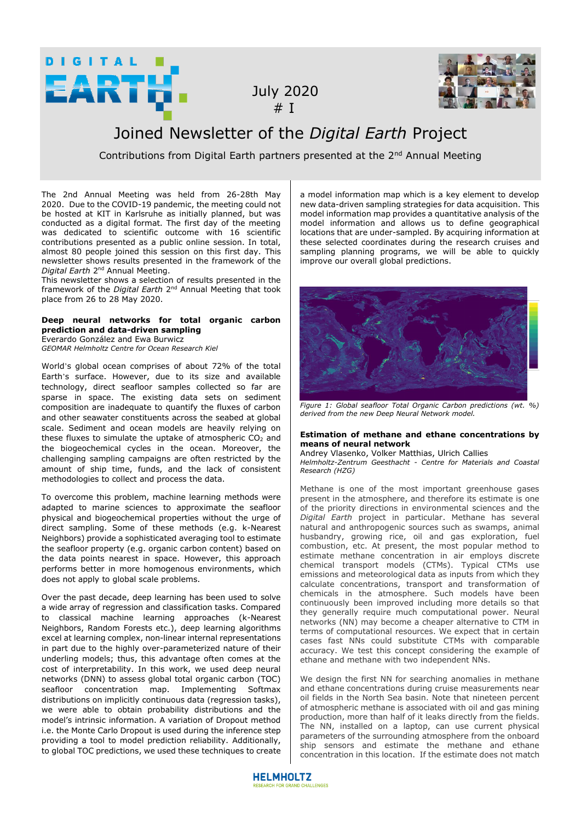

 July 2020  $# I$ 



# Joined Newsletter of the *Digital Earth* Project

Contributions from Digital Earth partners presented at the 2<sup>nd</sup> Annual Meeting

The 2nd Annual Meeting was held from 26-28th May 2020. Due to the COVID-19 pandemic, the meeting could not be hosted at KIT in Karlsruhe as initially planned, but was conducted as a digital format. The first day of the meeting was dedicated to scientific outcome with 16 scientific contributions presented as a public online session. In total, almost 80 people joined this session on this first day. This newsletter shows results presented in the framework of the *Digital Earth* 2nd Annual Meeting.

This newsletter shows a selection of results presented in the framework of the *Digital Earth* 2nd Annual Meeting that took place from 26 to 28 May 2020.

# **Deep neural networks for total organic carbon prediction and data-driven sampling**

Everardo González and Ewa Burwicz *GEOMAR Helmholtz Centre for Ocean Research Kiel* 

World's global ocean comprises of about 72% of the total Earth's surface. However, due to its size and available technology, direct seafloor samples collected so far are sparse in space. The existing data sets on sediment composition are inadequate to quantify the fluxes of carbon and other seawater constituents across the seabed at global scale. Sediment and ocean models are heavily relying on these fluxes to simulate the uptake of atmospheric  $CO<sub>2</sub>$  and the biogeochemical cycles in the ocean. Moreover, the challenging sampling campaigns are often restricted by the amount of ship time, funds, and the lack of consistent methodologies to collect and process the data.

To overcome this problem, machine learning methods were adapted to marine sciences to approximate the seafloor physical and biogeochemical properties without the urge of direct sampling. Some of these methods (e.g. k-Nearest Neighbors) provide a sophisticated averaging tool to estimate the seafloor property (e.g. organic carbon content) based on the data points nearest in space. However, this approach performs better in more homogenous environments, which does not apply to global scale problems.

Over the past decade, deep learning has been used to solve a wide array of regression and classification tasks. Compared to classical machine learning approaches (k-Nearest Neighbors, Random Forests etc.), deep learning algorithms excel at learning complex, non-linear internal representations in part due to the highly over-parameterized nature of their underling models; thus, this advantage often comes at the cost of interpretability. In this work, we used deep neural networks (DNN) to assess global total organic carbon (TOC) seafloor concentration map. Implementing Softmax distributions on implicitly continuous data (regression tasks), we were able to obtain probability distributions and the model's intrinsic information. A variation of Dropout method i.e. the Monte Carlo Dropout is used during the inference step providing a tool to model prediction reliability. Additionally, to global TOC predictions, we used these techniques to create

a model information map which is a key element to develop new data-driven sampling strategies for data acquisition. This model information map provides a quantitative analysis of the model information and allows us to define geographical locations that are under-sampled. By acquiring information at these selected coordinates during the research cruises and sampling planning programs, we will be able to quickly improve our overall global predictions.



*Figure 1: Global seafloor Total Organic Carbon predictions (wt. %) derived from the new Deep Neural Network model.* 

## **Estimation of methane and ethane concentrations by means of neural network**

Andrey Vlasenko, Volker Matthias, Ulrich Callies *Helmholtz-Zentrum Geesthacht - Centre for Materials and Coastal Research (HZG)* 

Methane is one of the most important greenhouse gases present in the atmosphere, and therefore its estimate is one of the priority directions in environmental sciences and the *Digital Earth* project in particular. Methane has several natural and anthropogenic sources such as swamps, animal husbandry, growing rice, oil and gas exploration, fuel combustion, etc. At present, the most popular method to estimate methane concentration in air employs discrete chemical transport models (CTMs). Typical CTMs use emissions and meteorological data as inputs from which they calculate concentrations, transport and transformation of chemicals in the atmosphere. Such models have been continuously been improved including more details so that they generally require much computational power. Neural networks (NN) may become a cheaper alternative to CTM in terms of computational resources. We expect that in certain cases fast NNs could substitute CTMs with comparable accuracy. We test this concept considering the example of ethane and methane with two independent NNs.

We design the first NN for searching anomalies in methane and ethane concentrations during cruise measurements near oil fields in the North Sea basin. Note that nineteen percent of atmospheric methane is associated with oil and gas mining production, more than half of it leaks directly from the fields. The NN, installed on a laptop, can use current physical parameters of the surrounding atmosphere from the onboard ship sensors and estimate the methane and ethane concentration in this location. If the estimate does not match

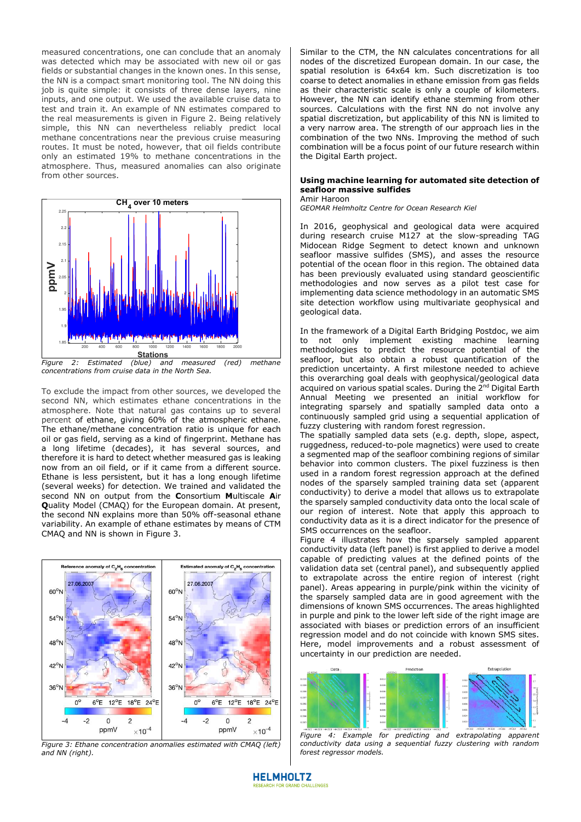measured concentrations, one can conclude that an anomaly was detected which may be associated with new oil or gas fields or substantial changes in the known ones. In this sense, the NN is a compact smart monitoring tool. The NN doing this job is quite simple: it consists of three dense layers, nine inputs, and one output. We used the available cruise data to test and train it. An example of NN estimates compared to the real measurements is given in Figure 2. Being relatively simple, this NN can nevertheless reliably predict local methane concentrations near the previous cruise measuring routes. It must be noted, however, that oil fields contribute only an estimated 19% to methane concentrations in the atmosphere. Thus, measured anomalies can also originate from other sources.



To exclude the impact from other sources, we developed the second NN, which estimates ethane concentrations in the atmosphere. Note that natural gas contains up to several percent of ethane, giving 60% of the atmospheric ethane. The ethane/methane concentration ratio is unique for each oil or gas field, serving as a kind of fingerprint. Methane has a long lifetime (decades), it has several sources, and therefore it is hard to detect whether measured gas is leaking now from an oil field, or if it came from a different source. Ethane is less persistent, but it has a long enough lifetime (several weeks) for detection. We trained and validated the second NN on output from the **C**onsortium **M**ultiscale **A**ir **Q**uality Model (CMAQ) for the European domain. At present, the second NN explains more than 50% off-seasonal ethane variability. An example of ethane estimates by means of CTM CMAQ and NN is shown in Figure 3.



*Figure 3: Ethane concentration anomalies estimated with CMAQ (left) and NN (right).* 

Similar to the CTM, the NN calculates concentrations for all nodes of the discretized European domain. In our case, the spatial resolution is 64x64 km. Such discretization is too coarse to detect anomalies in ethane emission from gas fields as their characteristic scale is only a couple of kilometers. However, the NN can identify ethane stemming from other sources. Calculations with the first NN do not involve any spatial discretization, but applicability of this NN is limited to a very narrow area. The strength of our approach lies in the combination of the two NNs. Improving the method of such combination will be a focus point of our future research within the Digital Earth project.

#### **Using machine learning for automated site detection of seafloor massive sulfides** Amir Haroon

*GEOMAR Helmholtz Centre for Ocean Research Kiel* 

In 2016, geophysical and geological data were acquired during research cruise M127 at the slow-spreading TAG Midocean Ridge Segment to detect known and unknown seafloor massive sulfides (SMS), and asses the resource potential of the ocean floor in this region. The obtained data has been previously evaluated using standard geoscientific methodologies and now serves as a pilot test case for implementing data science methodology in an automatic SMS site detection workflow using multivariate geophysical and geological data.

In the framework of a Digital Earth Bridging Postdoc, we aim to not only implement existing machine learning methodologies to predict the resource potential of the seafloor, but also obtain a robust quantification of the prediction uncertainty. A first milestone needed to achieve this overarching goal deals with geophysical/geological data acquired on various spatial scales. During the 2<sup>nd</sup> Digital Earth Annual Meeting we presented an initial workflow for integrating sparsely and spatially sampled data onto a continuously sampled grid using a sequential application of fuzzy clustering with random forest regression.

The spatially sampled data sets (e.g. depth, slope, aspect, ruggedness, reduced-to-pole magnetics) were used to create a segmented map of the seafloor combining regions of similar behavior into common clusters. The pixel fuzziness is then used in a random forest regression approach at the defined nodes of the sparsely sampled training data set (apparent conductivity) to derive a model that allows us to extrapolate the sparsely sampled conductivity data onto the local scale of our region of interest. Note that apply this approach to conductivity data as it is a direct indicator for the presence of SMS occurrences on the seafloor.

Figure 4 illustrates how the sparsely sampled apparent conductivity data (left panel) is first applied to derive a model capable of predicting values at the defined points of the validation data set (central panel), and subsequently applied to extrapolate across the entire region of interest (right panel). Areas appearing in purple/pink within the vicinity of the sparsely sampled data are in good agreement with the dimensions of known SMS occurrences. The areas highlighted in purple and pink to the lower left side of the right image are associated with biases or prediction errors of an insufficient regression model and do not coincide with known SMS sites. Here, model improvements and a robust assessment of uncertainty in our prediction are needed.



*Figure 4: Example for predicting and extrapolating apparent conductivity data using a sequential fuzzy clustering with random forest regressor models.*